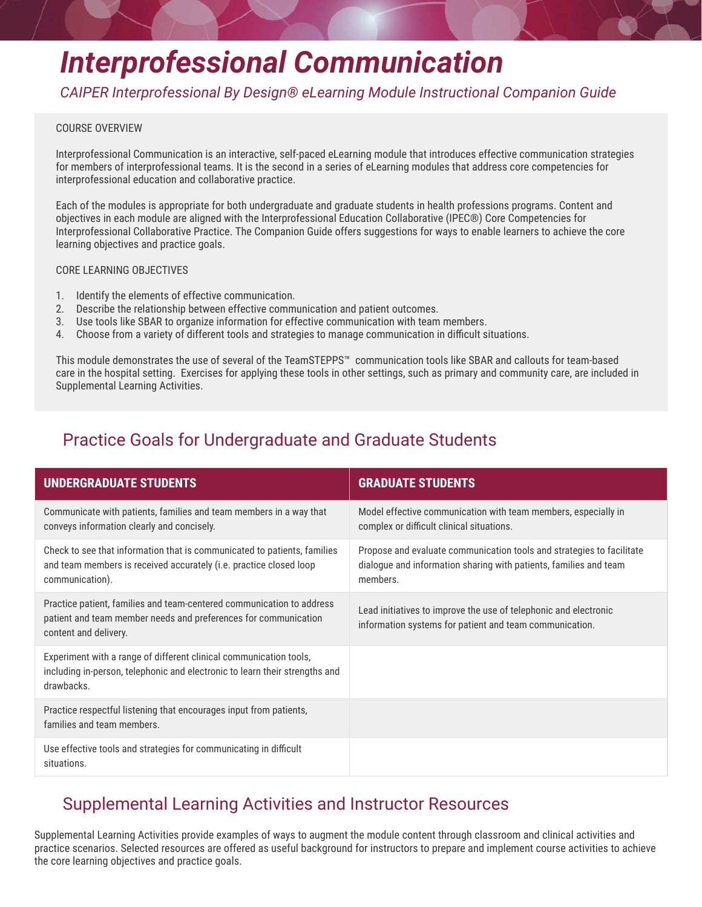# *Interprofessional Communication*

*CAIPER Interprofessional By Design® eLearning Module Instructional Companion Guide* 

## COURSE OVERVIEW

Interprofessional Communication is an interactive, self-paced eLearning module that introduces effective communication strategies for members of interprofessional teams. It is the second in a series of eLearning modules that address core competencies for interprofessional education and collaborative practice.

Each of the modules is appropriate for both undergraduate and graduate students in health professions programs. Content and objectives in each module are aligned with the Interprofessional Education Collaborative (IPEC®) Core Competencies for Interprofessional Collaborative Practice. The Companion Guide offers suggestions for ways to enable learners to achieve the core learning objectives and practice goals.

## CORE LEARNING OBJECTIVES

- 1. Identify the elements of effective communication.
- 2. Describe the relationship between effective communication and patient outcomes.
- 3. Use tools like SBAR to organize information for effective communication with team members.
- 4. Choose from a variety of different tools and strategies to manage communication in difficult situations.

This module demonstrates the use of several of the TeamSTEPPS™ communication tools like SBAR and callouts for team-based care in the hospital setting. Exercises for applying these tools in other settings, such as primary and community care, are included in Supplemental Learning Activities.

# Practice Goals for Undergraduate and Graduate Students

| <b>UNDERGRADUATE STUDENTS</b>                                                                                                                                     | <b>GRADUATE STUDENTS</b>                                                                                                                               |
|-------------------------------------------------------------------------------------------------------------------------------------------------------------------|--------------------------------------------------------------------------------------------------------------------------------------------------------|
| Communicate with patients, families and team members in a way that<br>conveys information clearly and concisely.                                                  | Model effective communication with team members, especially in<br>complex or difficult clinical situations.                                            |
| Check to see that information that is communicated to patients, families<br>and team members is received accurately (i.e. practice closed loop<br>communication). | Propose and evaluate communication tools and strategies to facilitate<br>dialogue and information sharing with patients, families and team<br>members. |
| Practice patient, families and team-centered communication to address<br>patient and team member needs and preferences for communication<br>content and delivery. | Lead initiatives to improve the use of telephonic and electronic<br>information systems for patient and team communication.                            |
| Experiment with a range of different clinical communication tools,<br>including in-person, telephonic and electronic to learn their strengths and<br>drawbacks.   |                                                                                                                                                        |
| Practice respectful listening that encourages input from patients,<br>families and team members.                                                                  |                                                                                                                                                        |
| Use effective tools and strategies for communicating in difficult<br>situations.                                                                                  |                                                                                                                                                        |

# Supplemental Learning Activities and Instructor Resources

Supplemental Learning Activities provide examples of ways to augment the module content through classroom and clinical activities and practice scenarios. Selected resources are offered as useful background for instructors to prepare and implement course activities to achieve the core learning objectives and practice goals.